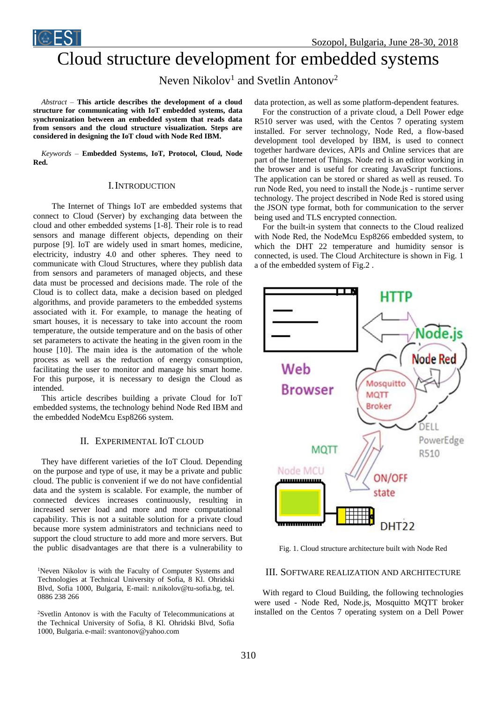Sozopol, Bulgaria, June 28-30, 2018

# Cloud structure development for embedded systems

Neven Nikolov<sup>1</sup> and Svetlin Antonov<sup>2</sup>

*Abstract –* **This article describes the development of a cloud structure for communicating with IoT embedded systems, data synchronization between an embedded system that reads data from sensors and the cloud structure visualization. Steps are considered in designing the IoT cloud with Node Red IBM.** 

*Keywords –* **Embedded Systems, IoT, Protocol, Cloud, Node Red.**

## I.INTRODUCTION

 The Internet of Things IoT are embedded systems that connect to Cloud (Server) by exchanging data between the cloud and other embedded systems [1-8]. Their role is to read sensors and manage different objects, depending on their purpose [9]. IoT are widely used in smart homes, medicine, electricity, industry 4.0 and other spheres. They need to communicate with Cloud Structures, where they publish data from sensors and parameters of managed objects, and these data must be processed and decisions made. The role of the Cloud is to collect data, make a decision based on pledged algorithms, and provide parameters to the embedded systems associated with it. For example, to manage the heating of smart houses, it is necessary to take into account the room temperature, the outside temperature and on the basis of other set parameters to activate the heating in the given room in the house [10]. The main idea is the automation of the whole process as well as the reduction of energy consumption, facilitating the user to monitor and manage his smart home. For this purpose, it is necessary to design the Cloud as intended.

This article describes building a private Cloud for IoT embedded systems, the technology behind Node Red IBM and the embedded NodeMcu Esp8266 system.

#### II. EXPERIMENTAL IOT CLOUD

They have different varieties of the IoT Cloud. Depending on the purpose and type of use, it may be a private and public cloud. The public is convenient if we do not have confidential data and the system is scalable. For example, the number of connected devices increases continuously, resulting in increased server load and more and more computational capability. This is not a suitable solution for a private cloud because more system administrators and technicians need to support the cloud structure to add more and more servers. But the public disadvantages are that there is a vulnerability to

<sup>1</sup>Neven Nikolov is with the Faculty of Computer Systems and Technologies at Technical University of Sofia, 8 Kl. Ohridski Blvd, Sofia 1000, Bulgaria, E-mail: n.nikolov@tu-sofia.bg, tel. 0886 238 266

<sup>2</sup>Svetlin Antonov is with the Faculty of Telecommunications at the Technical University of Sofia, 8 Kl. Ohridski Blvd, Sofia 1000, Bulgaria. e-mail: svantonov@yahoo.com

data protection, as well as some platform-dependent features.

For the construction of a private cloud, a Dell Power edge R510 server was used, with the Centos 7 operating system installed. For server technology, Node Red, a flow-based development tool developed by IBM, is used to connect together hardware devices, APIs and Online services that are part of the Internet of Things. Node red is an editor working in the browser and is useful for creating JavaScript functions. The application can be stored or shared as well as reused. To run Node Red, you need to install the Node.js - runtime server technology. The project described in Node Red is stored using the JSON type format, both for communication to the server being used and TLS encrypted connection.

For the built-in system that connects to the Cloud realized with Node Red, the NodeMcu Esp8266 embedded system, to which the DHT 22 temperature and humidity sensor is connected, is used. The Cloud Architecture is shown in Fig. 1 a of the embedded system of Fig.2 .



Fig. 1. Cloud structure architecture built with Node Red

### III. SOFTWARE REALIZATION AND ARCHITECTURE

With regard to Cloud Building, the following technologies were used - Node Red, Node.js, Mosquitto MQTT broker installed on the Centos 7 operating system on a Dell Power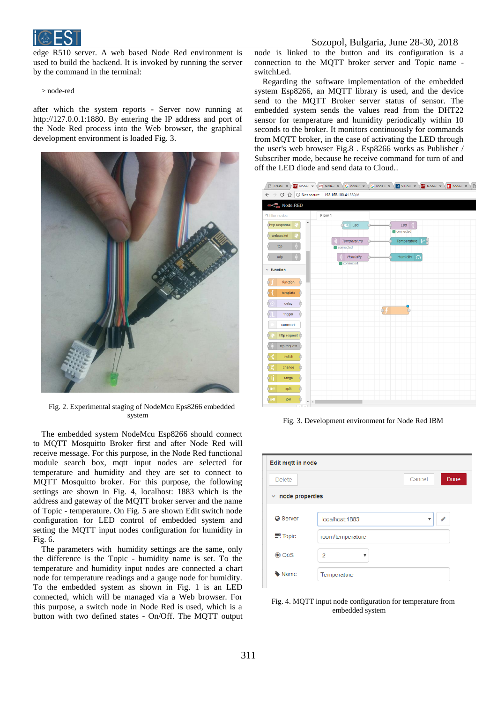

edge R510 server. A web based Node Red environment is used to build the backend. It is invoked by running the server by the command in the terminal:

> node-red

after which the system reports - Server now running at http://127.0.0.1:1880. By entering the IP address and port of the Node Red process into the Web browser, the graphical development environment is loaded Fig. 3.



Fig. 2. Experimental staging of NodeMcu Eps8266 embedded system

The embedded system NodeMcu Esp8266 should connect to MQTT Mosquitto Broker first and after Node Red will receive message. For this purpose, in the Node Red functional module search box, mqtt input nodes are selected for temperature and humidity and they are set to connect to MQTT Mosquitto broker. For this purpose, the following settings are shown in Fig. 4, localhost: 1883 which is the address and gateway of the MQTT broker server and the name of Topic - temperature. On Fig. 5 are shown Edit switch node configuration for LED control of embedded system and setting the MQTT input nodes configuration for humidity in Fig. 6.

The parameters with humidity settings are the same, only the difference is the Topic - humidity name is set. To the temperature and humidity input nodes are connected a chart node for temperature readings and a gauge node for humidity. To the embedded system as shown in Fig. 1 is an LED connected, which will be managed via a Web browser. For this purpose, a switch node in Node Red is used, which is a button with two defined states - On/Off. The MQTT output

# Sozopol, Bulgaria, June 28-30, 2018

node is linked to the button and its configuration is a connection to the MQTT broker server and Topic name switchLed.

Regarding the software implementation of the embedded system Esp8266, an MQTT library is used, and the device send to the MQTT Broker server status of sensor. The embedded system sends the values read from the DHT22 sensor for temperature and humidity periodically within 10 seconds to the broker. It monitors continuously for commands from MQTT broker, in the case of activating the LED through the user's web browser Fig.8 . Esp8266 works as Publisher / Subscriber mode, because he receive command for turn of and off the LED diode and send data to Cloud..

 $\overline{a}$   $\overline{b}$   $\overline{c}$   $\overline{a}$   $\overline{b}$   $\overline{c}$   $\overline{a}$   $\overline{c}$   $\overline{c}$   $\overline{c}$   $\overline{c}$   $\overline{c}$   $\overline{c}$   $\overline{c}$   $\overline{c}$   $\overline{c}$   $\overline{c}$   $\overline{c}$   $\overline{c}$   $\overline{c}$   $\overline{c}$   $\overline{c}$   $\overline{c}$   $\overline{c}$   $\overline{$ 

| $\leftarrow$ $\rightarrow$ C' $\hat{\Omega}$   0 Not secure   192.168.100.4:1880/# | $\sim$ $\sim$ $\sim$ $\sim$<br>$\overline{\phantom{a}}$<br>-<br>$\sqrt{2}$<br>$\sqrt{2}$ |
|------------------------------------------------------------------------------------|------------------------------------------------------------------------------------------|
| Node-RED                                                                           |                                                                                          |
| <b>Q</b> filter nodes                                                              | Flow 1                                                                                   |
| $\blacktriangle$<br>Chttp response                                                 | $Let \rightarrow)$<br>$\overline{\bigcirc}$ Led<br>connected                             |
| websocket                                                                          | Temperature $ \mathcal{V} $<br>Temperature                                               |
| tcp                                                                                | connected                                                                                |
| udp                                                                                | Humidity $\Omega$<br>Humidity<br>connected                                               |
| $\times$ function                                                                  |                                                                                          |
| function<br>$\bigcap$                                                              |                                                                                          |
| template<br>n                                                                      |                                                                                          |
| delay<br>$\Box$                                                                    | 읶                                                                                        |
| trigger<br>Ò                                                                       | φŦ                                                                                       |
| comment                                                                            |                                                                                          |
| http request O                                                                     |                                                                                          |
| tcp request                                                                        |                                                                                          |
| switch<br>n                                                                        |                                                                                          |
| change<br>n                                                                        |                                                                                          |
| range<br>n                                                                         |                                                                                          |
| D.<br>split                                                                        |                                                                                          |
| b∌∎<br>join<br>$\left  4 \right $<br>÷                                             |                                                                                          |

Fig. 3. Development environment for Node Red IBM

| Edit mqtt in node        |                     |                |
|--------------------------|---------------------|----------------|
| <b>Delete</b>            |                     | Done<br>Cancel |
| $\times$ node properties |                     |                |
| <b>Q</b> Server          | localhost:1883      | v              |
| $\equiv$ Topic           | room/temperature    |                |
| ④ QoS                    | $\overline{2}$<br>v |                |
| • Name                   | Temperature         |                |

Fig. 4. MQTT input node configuration for temperature from embedded system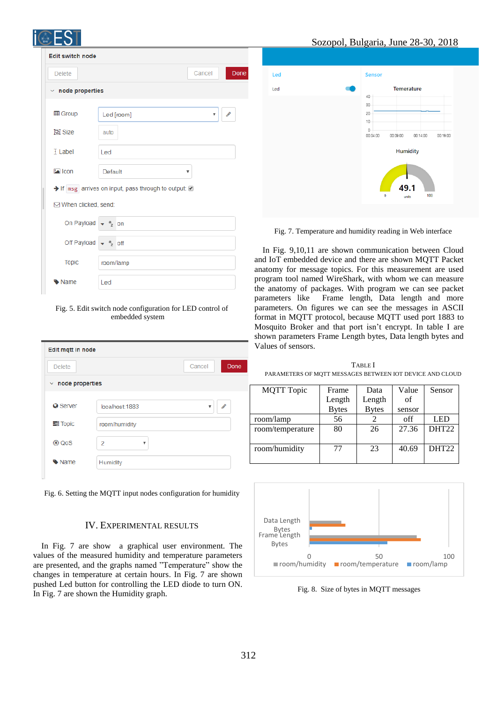| N<br>2018                     |                                                                       |
|-------------------------------|-----------------------------------------------------------------------|
| <b>Edit switch node</b>       |                                                                       |
| <b>Delete</b>                 | Don<br>Cancel                                                         |
| $\times$ node properties      |                                                                       |
| <b>田 Group</b>                | <b>Contract</b><br>Led [room]<br>v                                    |
| 回 Size                        | auto                                                                  |
| <b>F</b> Label                | Led                                                                   |
| $\boxed{\triangle}$ Icon      | Default<br>▼                                                          |
|                               | $\rightarrow$ If msg arrives on input, pass through to output: $\Box$ |
| ⊠ When clicked, send:         |                                                                       |
| On Payload                    | $a$ <sub>z</sub> on                                                   |
| Off Payload $\frac{1}{2}$ eff |                                                                       |
| <b>Topic</b>                  | room/lamp                                                             |
| Name                          | Led                                                                   |

Fig. 5. Edit switch node configuration for LED control of embedded system

| Edit mqtt in node        |                |                         |               |
|--------------------------|----------------|-------------------------|---------------|
| <b>Delete</b>            |                | Cancel                  | Done          |
| $\times$ node properties |                |                         |               |
|                          |                |                         |               |
| <b>Q</b> Server          | localhost:1883 | $\overline{\mathbf{v}}$ | $\mathcal{L}$ |
| $\equiv$ Topic           | room/humidity  |                         |               |
| ® QoS                    | 2<br>v         |                         |               |
| <b>Wame</b>              | Humidity       |                         |               |
|                          |                |                         |               |

Fig. 6. Setting the MQTT input nodes configuration for humidity

# IV. EXPERIMENTAL RESULTS

In Fig. 7 are show a graphical user environment. The values of the measured humidity and temperature parameters are presented, and the graphs named "Temperature" show the changes in temperature at certain hours. In Fig. 7 are shown pushed Led button for controlling the LED diode to turn ON. In Fig. 7 are shown the Humidity graph.



Fig. 7. Temperature and humidity reading in Web interface

In Fig. 9,10,11 are shown communication between Cloud and IoT embedded device and there are shown MQTT Packet anatomy for message topics. For this measurement are used program tool named WireShark, with whom we can measure the anatomy of packages. With program we can see packet parameters like Frame length, Data length and more parameters. On figures we can see the messages in ASCII format in MQTT protocol, because MQTT used port 1883 to Mosquito Broker and that port isn't encrypt. In table I are shown parameters Frame Length bytes, Data length bytes and Values of sensors.

TABLE I PARAMETERS OF MQTT MESSAGES BETWEEN IOT DEVICE AND CLOUD

| <b>MQTT</b> Topic | Frame        | Data         | Value  | Sensor            |
|-------------------|--------------|--------------|--------|-------------------|
|                   | Length       | Length       | of     |                   |
|                   | <b>Bytes</b> | <b>Bytes</b> | sensor |                   |
| room/lamp         | 56           |              | off    | <b>LED</b>        |
| room/temperature  | 80           | 26           | 27.36  | DHT22             |
|                   |              |              |        |                   |
| room/humidity     | 77           | 23           | 40.69  | DHT <sub>22</sub> |
|                   |              |              |        |                   |



Fig. 8. Size of bytes in MQTT messages